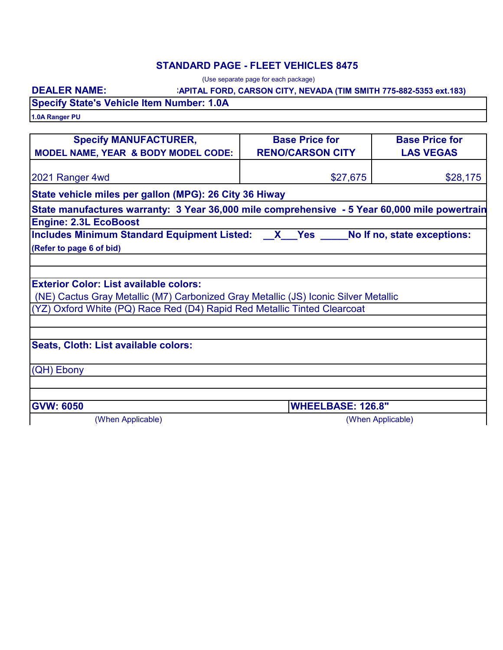## **STANDARD PAGE - FLEET VEHICLES 8475**

(Use separate page for each package)

#### **:APITAL FORD, CARSON CITY, NEVADA (TIM SMITH 775-882-5353 ext.183)**

## **DEALER NAME: Specify State's Vehicle Item Number: 1.0A**

**1.0A Ranger PU**

| <b>Specify MANUFACTURER,</b>                                                                  | <b>Base Price for</b>    | <b>Base Price for</b> |  |
|-----------------------------------------------------------------------------------------------|--------------------------|-----------------------|--|
| MODEL NAME, YEAR & BODY MODEL CODE:                                                           | <b>RENO/CARSON CITY</b>  | <b>LAS VEGAS</b>      |  |
|                                                                                               |                          |                       |  |
| 2021 Ranger 4wd                                                                               | \$27,675                 | \$28,175              |  |
| State vehicle miles per gallon (MPG): 26 City 36 Hiway                                        |                          |                       |  |
| State manufactures warranty: 3 Year 36,000 mile comprehensive - 5 Year 60,000 mile powertrain |                          |                       |  |
| <b>Engine: 2.3L EcoBoost</b>                                                                  |                          |                       |  |
| Includes Minimum Standard Equipment Listed: X Yes No If no, state exceptions:                 |                          |                       |  |
| (Refer to page 6 of bid)                                                                      |                          |                       |  |
|                                                                                               |                          |                       |  |
|                                                                                               |                          |                       |  |
| <b>Exterior Color: List available colors:</b>                                                 |                          |                       |  |
| (NE) Cactus Gray Metallic (M7) Carbonized Gray Metallic (JS) Iconic Silver Metallic           |                          |                       |  |
| (YZ) Oxford White (PQ) Race Red (D4) Rapid Red Metallic Tinted Clearcoat                      |                          |                       |  |
|                                                                                               |                          |                       |  |
|                                                                                               |                          |                       |  |
| Seats, Cloth: List available colors:                                                          |                          |                       |  |
|                                                                                               |                          |                       |  |
| (QH) Ebony                                                                                    |                          |                       |  |
|                                                                                               |                          |                       |  |
|                                                                                               |                          |                       |  |
| <b>GVW: 6050</b>                                                                              | <b>WHEELBASE: 126.8"</b> |                       |  |
| (When Applicable)                                                                             | (When Applicable)        |                       |  |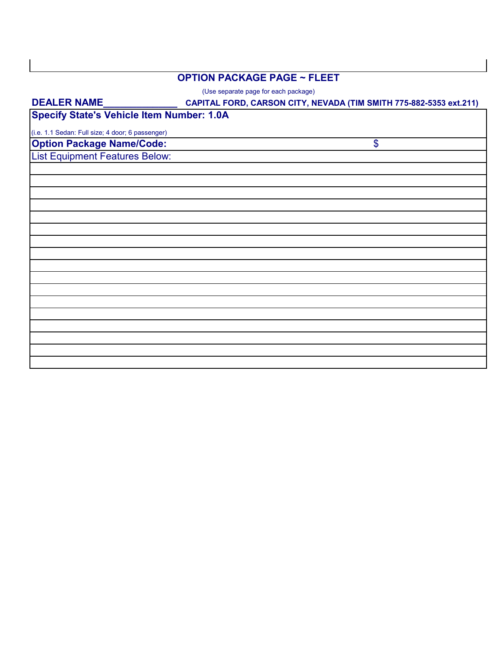#### **OPTION PACKAGE PAGE ~ FLEET**

(Use separate page for each package)

# **CAPITAL FORD, CARSON CITY, NEVADA (TIM SMITH 775-882-5353 ext.211) Option Package Name/Code:** List Equipment Features Below: **DEALER NAME\_\_\_\_\_\_\_\_\_\_\_\_\_\_** \$ (i.e. 1.1 Sedan: Full size; 4 door; 6 passenger) **Specify State's Vehicle Item Number: 1.0A**